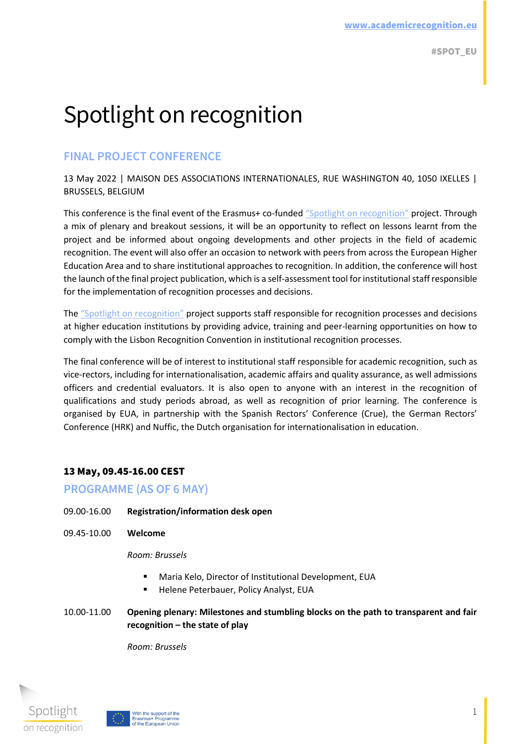# Spotlight on recognition

## **FINAL PROJECT CONFERENCE**

13 May 2022 | MAISON DES ASSOCIATIONS INTERNATIONALES, RUE WASHINGTON 40, 1050 IXELLES | BRUSSELS, BELGIUM

This conference is the final event of the Erasmus+ co-funded "[Spotlight on recognition](https://eua.eu/resources/projects/785-spot.html)" project. Through a mix of plenary and breakout sessions, it will be an opportunity to reflect on lessons learnt from the project and be informed about ongoing developments and other projects in the field of academic recognition. The event will also offer an occasion to network with peers from across the European Higher Education Area and to share institutional approaches to recognition. In addition, the conference will host the launch of the final project publication, which is a self-assessment tool for institutional staff responsible for the implementation of recognition processes and decisions.

The "[Spotlight on recognition](https://eua.eu/resources/projects/785-spot.html)" project supports staff responsible for recognition processes and decisions at higher education institutions by providing advice, training and peer-learning opportunities on how to comply with the Lisbon Recognition Convention in institutional recognition processes.

The final conference will be of interest to institutional staff responsible for academic recognition, such as vice-rectors, including for internationalisation, academic affairs and quality assurance, as well admissions officers and credential evaluators. It is also open to anyone with an interest in the recognition of qualifications and study periods abroad, as well as recognition of prior learning. The conference is organised by EUA, in partnership with the Spanish Rectors' Conference (Crue), the German Rectors' Conference (HRK) and Nuffic, the Dutch organisation for internationalisation in education.

## 13 May, 09.45-16.00 CEST

## **PROGRAMME (AS OF 6 MAY)**

- 09.00-16.00 **Registration/information desk open**
- 09.45-10.00 **Welcome**

#### *Room: Brussels*

- Maria Kelo, Director of Institutional Development, EUA
- **E** Helene Peterbauer, Policy Analyst, EUA
- 10.00-11.00 **Opening plenary: Milestones and stumbling blocks on the path to transparent and fair recognition – the state of play**

*Room: Brussels* 



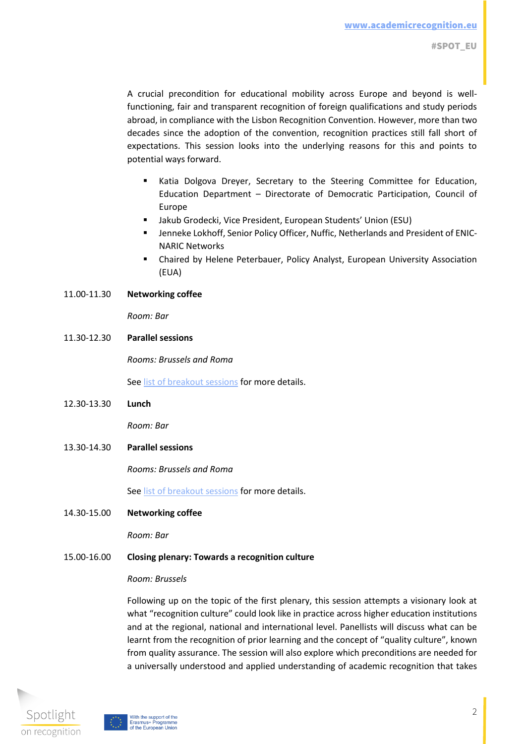A crucial precondition for educational mobility across Europe and beyond is wellfunctioning, fair and transparent recognition of foreign qualifications and study periods abroad, in compliance with the Lisbon Recognition Convention. However, more than two decades since the adoption of the convention, recognition practices still fall short of expectations. This session looks into the underlying reasons for this and points to potential ways forward.

- Katia Dolgova Dreyer, Secretary to the Steering Committee for Education, Education Department – Directorate of Democratic Participation, Council of Europe
- Jakub Grodecki, Vice President, European Students' Union (ESU)
- Jenneke Lokhoff, Senior Policy Officer, Nuffic, Netherlands and President of ENIC-NARIC Networks
- **E** Chaired by Helene Peterbauer, Policy Analyst, European University Association (EUA)

#### 11.00-11.30 **Networking coffee**

*Room: Bar*

11.30-12.30 **Parallel sessions**

*Rooms: Brussels and Roma* 

Se[e list of breakout sessions](https://eua.eu/images/Breakout_session_abstracts.pdf) for more details.

12.30-13.30 **Lunch**

*Room: Bar*

13.30-14.30 **Parallel sessions**

*Rooms: Brussels and Roma*

Se[e list of breakout sessions](https://eua.eu/images/Breakout_session_abstracts.pdf) for more details.

14.30-15.00 **Networking coffee**

*Room: Bar*

#### 15.00-16.00 **Closing plenary: Towards a recognition culture**

#### *Room: Brussels*

Following up on the topic of the first plenary, this session attempts a visionary look at what "recognition culture" could look like in practice across higher education institutions and at the regional, national and international level. Panellists will discuss what can be learnt from the recognition of prior learning and the concept of "quality culture", known from quality assurance. The session will also explore which preconditions are needed for a universally understood and applied understanding of academic recognition that takes